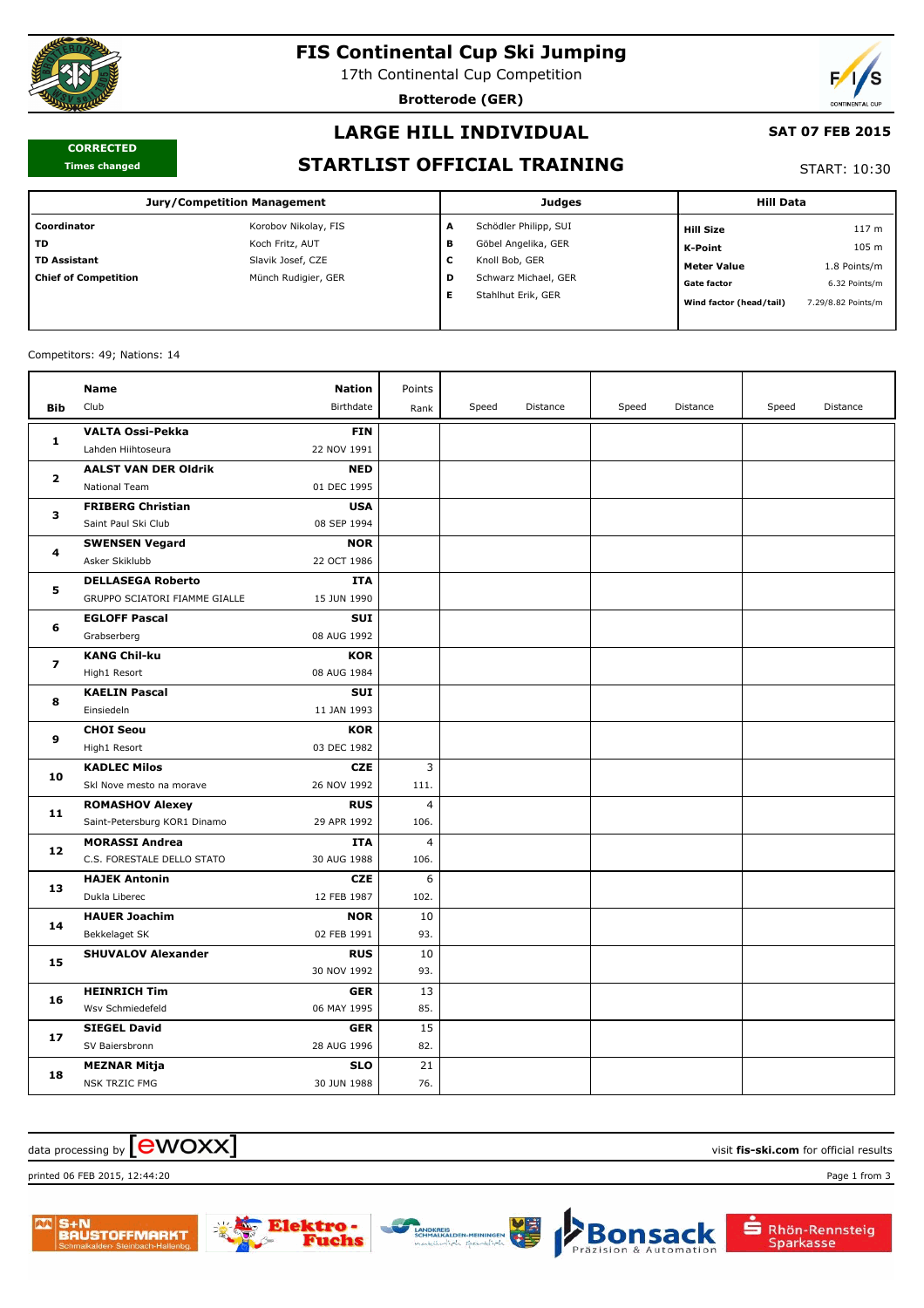

# **FIS Continental Cup Ski Jumping**

17th Continental Cup Competition

**Brotterode (GER)**



#### **CORRECTED Times changed**

# **LARGE HILL INDIVIDUAL**

#### **SAT 07 FEB 2015**

### **STARTLIST OFFICIAL TRAINING**

START: 10:30

| Jury/Competition Management |                      |         | <b>Judges</b>         | <b>Hill Data</b>        |                    |
|-----------------------------|----------------------|---------|-----------------------|-------------------------|--------------------|
| Coordinator                 | Korobov Nikolay, FIS | A       | Schödler Philipp, SUI | Hill Size               | 117 <sub>m</sub>   |
| l TD.                       | Koch Fritz, AUT      | в       | Göbel Angelika, GER   | <b>K-Point</b>          | 105 m              |
| l TD Assistant              | Slavik Josef, CZE    | {<br>۰. | Knoll Bob, GER        | <b>Meter Value</b>      | 1.8 Points/m       |
| Chief of Competition        | Münch Rudigier, GER  | D       | Schwarz Michael, GER  | <b>Gate factor</b>      | 6.32 Points/m      |
|                             |                      |         | Stahlhut Erik, GER    | Wind factor (head/tail) | 7.29/8.82 Points/m |
|                             |                      |         |                       |                         |                    |

#### Competitors: 49; Nations: 14

|                | Name                                       | <b>Nation</b>             | Points         |       |          |       |          |       |          |
|----------------|--------------------------------------------|---------------------------|----------------|-------|----------|-------|----------|-------|----------|
| <b>Bib</b>     | Club                                       | Birthdate                 | Rank           | Speed | Distance | Speed | Distance | Speed | Distance |
| 1              | <b>VALTA Ossi-Pekka</b>                    | <b>FIN</b>                |                |       |          |       |          |       |          |
|                | Lahden Hiihtoseura                         | 22 NOV 1991               |                |       |          |       |          |       |          |
| $\overline{2}$ | <b>AALST VAN DER Oldrik</b>                | <b>NED</b>                |                |       |          |       |          |       |          |
|                | National Team                              | 01 DEC 1995               |                |       |          |       |          |       |          |
| 3              | <b>FRIBERG Christian</b>                   | <b>USA</b>                |                |       |          |       |          |       |          |
|                | Saint Paul Ski Club                        | 08 SEP 1994               |                |       |          |       |          |       |          |
| 4              | <b>SWENSEN Vegard</b>                      | <b>NOR</b>                |                |       |          |       |          |       |          |
|                | Asker Skiklubb                             | 22 OCT 1986               |                |       |          |       |          |       |          |
| 5              | <b>DELLASEGA Roberto</b>                   | <b>ITA</b>                |                |       |          |       |          |       |          |
|                | GRUPPO SCIATORI FIAMME GIALLE              | 15 JUN 1990               |                |       |          |       |          |       |          |
| 6              | <b>EGLOFF Pascal</b>                       | <b>SUI</b>                |                |       |          |       |          |       |          |
|                | Grabserberg                                | 08 AUG 1992               |                |       |          |       |          |       |          |
| $\overline{ }$ | <b>KANG Chil-ku</b>                        | <b>KOR</b>                |                |       |          |       |          |       |          |
|                | High1 Resort                               | 08 AUG 1984               |                |       |          |       |          |       |          |
| 8              | <b>KAELIN Pascal</b>                       | <b>SUI</b>                |                |       |          |       |          |       |          |
|                | Einsiedeln                                 | 11 JAN 1993               |                |       |          |       |          |       |          |
| 9              | <b>CHOI Seou</b>                           | <b>KOR</b>                |                |       |          |       |          |       |          |
|                | High1 Resort                               | 03 DEC 1982               |                |       |          |       |          |       |          |
| 10             | <b>KADLEC Milos</b>                        | <b>CZE</b>                | 3              |       |          |       |          |       |          |
|                | Skl Nove mesto na morave                   | 26 NOV 1992               | 111.           |       |          |       |          |       |          |
| 11             | <b>ROMASHOV Alexey</b>                     | <b>RUS</b>                | 4              |       |          |       |          |       |          |
|                | Saint-Petersburg KOR1 Dinamo               | 29 APR 1992               | 106.           |       |          |       |          |       |          |
| 12             | <b>MORASSI Andrea</b>                      | <b>ITA</b>                | $\overline{4}$ |       |          |       |          |       |          |
|                | C.S. FORESTALE DELLO STATO                 | 30 AUG 1988               | 106.           |       |          |       |          |       |          |
| 13             | <b>HAJEK Antonin</b>                       | <b>CZE</b>                | 6              |       |          |       |          |       |          |
|                | Dukla Liberec                              | 12 FEB 1987               | 102.           |       |          |       |          |       |          |
| 14             | <b>HAUER Joachim</b>                       | <b>NOR</b><br>02 FEB 1991 | 10<br>93.      |       |          |       |          |       |          |
|                | Bekkelaget SK<br><b>SHUVALOV Alexander</b> | <b>RUS</b>                | 10             |       |          |       |          |       |          |
| 15             |                                            | 30 NOV 1992               | 93.            |       |          |       |          |       |          |
|                | <b>HEINRICH Tim</b>                        | <b>GER</b>                | 13             |       |          |       |          |       |          |
| 16             | Wsv Schmiedefeld                           | 06 MAY 1995               | 85.            |       |          |       |          |       |          |
| 17             | <b>SIEGEL David</b>                        | <b>GER</b>                | 15             |       |          |       |          |       |          |
|                | SV Baiersbronn                             | 28 AUG 1996               | 82.            |       |          |       |          |       |          |
|                | MEZNAR Mitja                               | <b>SLO</b>                | 21             |       |          |       |          |       |          |
| 18             | <b>NSK TRZIC FMG</b>                       | 30 JUN 1988               | 76.            |       |          |       |          |       |          |
|                |                                            |                           |                |       |          |       |          |       |          |

### $\alpha$  data processing by  $\boxed{\text{ewOX}}$

printed 06 FEB 2015, 12:44:20 Page 1 from 3





Rhön-Rennsteig

Sparkasse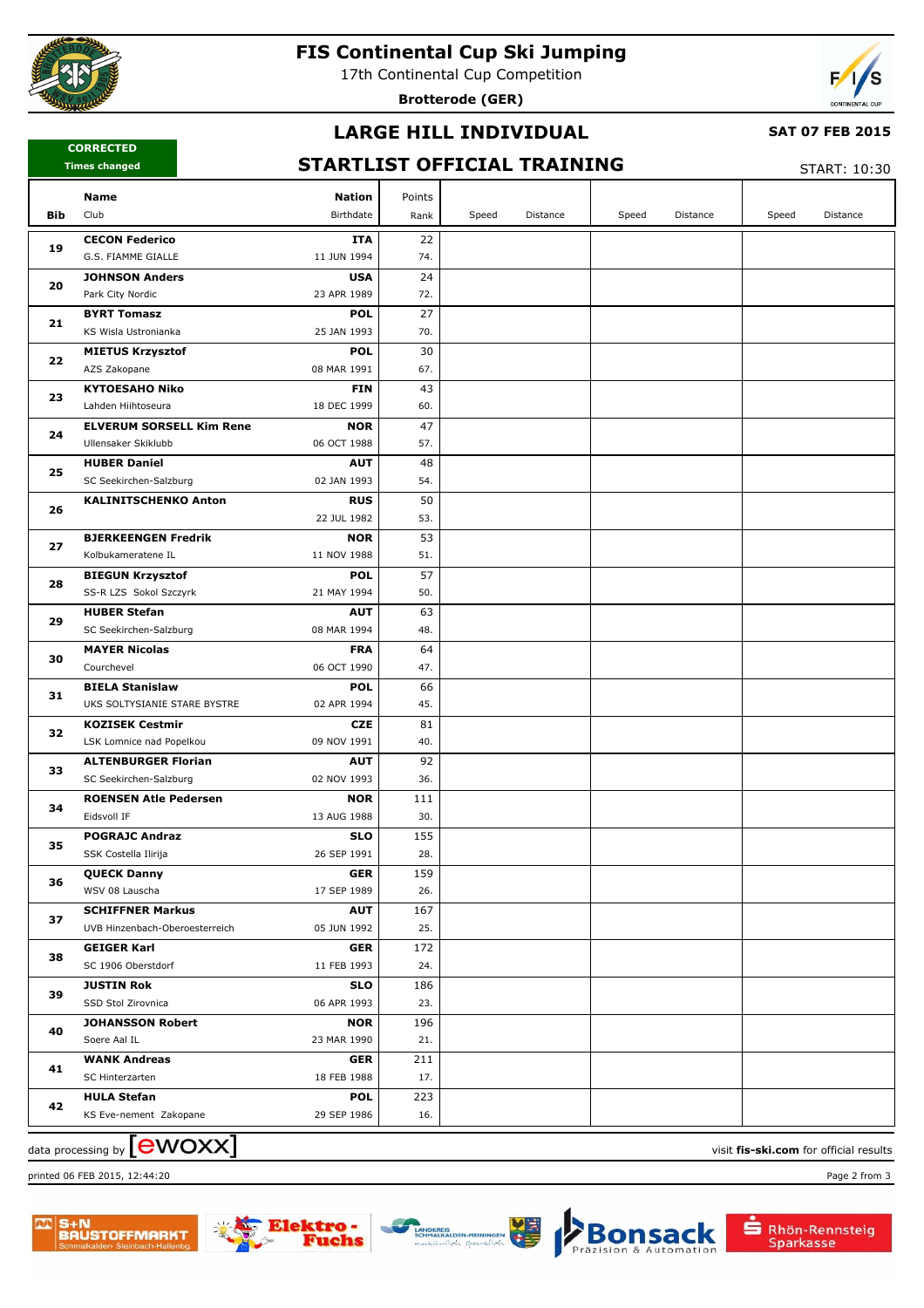

## **FIS Continental Cup Ski Jumping**

17th Continental Cup Competition

**Brotterode (GER)**



### **LARGE HILL INDIVIDUAL**

#### **CORRECTED Times changed**

### **SAT 07 FEB 2015**

# **STARTLIST OFFICIAL TRAINING**

START: 10:30

|            | Name<br><b>Nation</b>                                                    | Points                   |       |          |       |          |       |          |
|------------|--------------------------------------------------------------------------|--------------------------|-------|----------|-------|----------|-------|----------|
| <b>Bib</b> | Club<br>Birthdate                                                        | Rank                     | Speed | Distance | Speed | Distance | Speed | Distance |
|            | <b>CECON Federico</b>                                                    | 22<br>ITA                |       |          |       |          |       |          |
| 19         | 11 JUN 1994<br>G.S. FIAMME GIALLE                                        | 74.                      |       |          |       |          |       |          |
| 20         | <b>JOHNSON Anders</b>                                                    | 24<br><b>USA</b>         |       |          |       |          |       |          |
|            | 23 APR 1989<br>Park City Nordic                                          | 72.                      |       |          |       |          |       |          |
|            | <b>BYRT Tomasz</b>                                                       | 27<br><b>POL</b>         |       |          |       |          |       |          |
| 21         | 25 JAN 1993<br>KS Wisla Ustronianka                                      | 70.                      |       |          |       |          |       |          |
|            | <b>MIETUS Krzysztof</b>                                                  | 30<br><b>POL</b>         |       |          |       |          |       |          |
| 22         | AZS Zakopane<br>08 MAR 1991                                              | 67.                      |       |          |       |          |       |          |
|            | <b>KYTOESAHO Niko</b>                                                    | 43<br><b>FIN</b>         |       |          |       |          |       |          |
| 23         | Lahden Hiihtoseura<br>18 DEC 1999                                        | 60.                      |       |          |       |          |       |          |
|            | <b>ELVERUM SORSELL Kim Rene</b>                                          | 47<br><b>NOR</b>         |       |          |       |          |       |          |
| 24         | 06 OCT 1988<br>Ullensaker Skiklubb                                       | 57.                      |       |          |       |          |       |          |
|            | <b>HUBER Daniel</b>                                                      | <b>AUT</b><br>48         |       |          |       |          |       |          |
| 25         | 02 JAN 1993<br>SC Seekirchen-Salzburg                                    | 54.                      |       |          |       |          |       |          |
| 26         | <b>KALINITSCHENKO Anton</b>                                              | 50<br><b>RUS</b>         |       |          |       |          |       |          |
|            | 22 JUL 1982                                                              | 53.                      |       |          |       |          |       |          |
|            | <b>BJERKEENGEN Fredrik</b>                                               | 53<br><b>NOR</b>         |       |          |       |          |       |          |
| 27         | 11 NOV 1988<br>Kolbukameratene IL                                        | 51.                      |       |          |       |          |       |          |
| 28<br>29   | <b>BIEGUN Krzysztof</b>                                                  | 57<br><b>POL</b>         |       |          |       |          |       |          |
|            | SS-R LZS Sokol Szczyrk<br>21 MAY 1994                                    | 50.                      |       |          |       |          |       |          |
|            | <b>HUBER Stefan</b>                                                      | 63<br><b>AUT</b>         |       |          |       |          |       |          |
|            | SC Seekirchen-Salzburg<br>08 MAR 1994                                    | 48.                      |       |          |       |          |       |          |
| 30         | <b>MAYER Nicolas</b>                                                     | 64<br><b>FRA</b>         |       |          |       |          |       |          |
|            | 06 OCT 1990<br>Courchevel                                                | 47.                      |       |          |       |          |       |          |
| 31         | <b>BIELA Stanislaw</b>                                                   | 66<br><b>POL</b>         |       |          |       |          |       |          |
|            | UKS SOLTYSIANIE STARE BYSTRE<br>02 APR 1994                              | 45.                      |       |          |       |          |       |          |
| 32         | <b>KOZISEK Cestmir</b>                                                   | 81<br><b>CZE</b>         |       |          |       |          |       |          |
|            | 09 NOV 1991<br>LSK Lomnice nad Popelkou                                  | 40.                      |       |          |       |          |       |          |
| 33         | <b>ALTENBURGER Florian</b>                                               | 92<br><b>AUT</b>         |       |          |       |          |       |          |
|            | SC Seekirchen-Salzburg<br>02 NOV 1993                                    | 36.                      |       |          |       |          |       |          |
| 34         | <b>ROENSEN Atle Pedersen</b>                                             | 111<br><b>NOR</b>        |       |          |       |          |       |          |
|            | Eidsvoll IF<br>13 AUG 1988                                               | 30.                      |       |          |       |          |       |          |
| 35         | <b>POGRAJC Andraz</b>                                                    | 155<br><b>SLO</b>        |       |          |       |          |       |          |
|            | 26 SEP 1991<br>SSK Costella Ilirija                                      | 28.                      |       |          |       |          |       |          |
| 36         | <b>QUECK Danny</b>                                                       | 159<br><b>GER</b>        |       |          |       |          |       |          |
|            | WSV 08 Lauscha<br>17 SEP 1989                                            | 26.                      |       |          |       |          |       |          |
| 37         | <b>SCHIFFNER Markus</b><br>05 JUN 1992<br>UVB Hinzenbach-Oberoesterreich | 167<br><b>AUT</b><br>25. |       |          |       |          |       |          |
|            |                                                                          |                          |       |          |       |          |       |          |
| 38         | <b>GEIGER Karl</b><br>SC 1906 Oberstdorf<br>11 FEB 1993                  | 172<br><b>GER</b>        |       |          |       |          |       |          |
| 39         |                                                                          | 24.                      |       |          |       |          |       |          |
|            | <b>JUSTIN Rok</b><br>SSD Stol Zirovnica<br>06 APR 1993                   | <b>SLO</b><br>186<br>23. |       |          |       |          |       |          |
|            | <b>JOHANSSON Robert</b>                                                  | <b>NOR</b><br>196        |       |          |       |          |       |          |
| 40         | 23 MAR 1990<br>Soere Aal IL                                              | 21.                      |       |          |       |          |       |          |
|            | <b>WANK Andreas</b>                                                      | 211<br><b>GER</b>        |       |          |       |          |       |          |
| 41         | 18 FEB 1988<br>SC Hinterzarten                                           | 17.                      |       |          |       |          |       |          |
|            | <b>HULA Stefan</b>                                                       | <b>POL</b><br>223        |       |          |       |          |       |          |
| 42         | KS Eve-nement Zakopane<br>29 SEP 1986                                    | 16.                      |       |          |       |          |       |          |
|            |                                                                          |                          |       |          |       |          |       |          |

 $\alpha$  data processing by  $\boxed{\text{ewOX}}$ 

printed 06 FEB 2015, 12:44:20 Page 2 from 3

S+N<br>BAUSTOFFMARKT

che



Bon